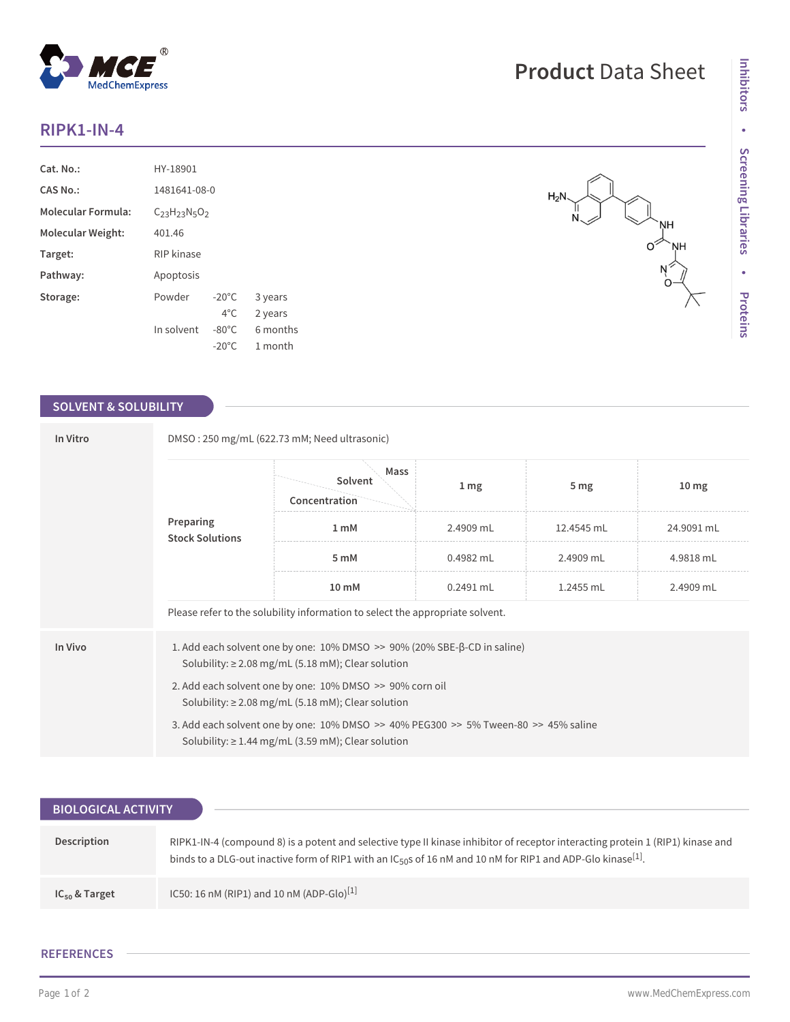## **RIPK1-IN-4**

| Cat. No.:                 | HY-18901                 |                 |          |  |
|---------------------------|--------------------------|-----------------|----------|--|
| CAS No.:                  | 1481641-08-0             |                 |          |  |
| <b>Molecular Formula:</b> | $C_{23}H_{23}N_{5}O_{2}$ |                 |          |  |
| Molecular Weight:         | 401.46                   |                 |          |  |
| Target:                   | RIP kinase               |                 |          |  |
| Pathway:                  | Apoptosis                |                 |          |  |
| Storage:                  | Powder                   | $-20^{\circ}$ C | 3 years  |  |
|                           |                          | $4^{\circ}$ C.  | 2 years  |  |
|                           | In solvent               | $-80^{\circ}$ C | 6 months |  |
|                           |                          | $-20^{\circ}$ C | 1 month  |  |

## **SOLVENT & SOLUBILITY**

| In Vitro | DMSO: 250 mg/mL (622.73 mM; Need ultrasonic)                                                                                                                  |                                  |                   |                 |                  |  |  |
|----------|---------------------------------------------------------------------------------------------------------------------------------------------------------------|----------------------------------|-------------------|-----------------|------------------|--|--|
|          | Preparing<br><b>Stock Solutions</b>                                                                                                                           | Mass<br>Solvent<br>Concentration | $1 \,\mathrm{mg}$ | 5 <sub>mg</sub> | 10 <sub>mg</sub> |  |  |
|          |                                                                                                                                                               | 1 mM                             | 2.4909 mL         | 12.4545 mL      | 24.9091 mL       |  |  |
|          |                                                                                                                                                               | 5 mM                             | $0.4982$ mL       | 2.4909 mL       | 4.9818 mL        |  |  |
|          | 10 <sub>mm</sub>                                                                                                                                              | $0.2491$ mL                      | 1.2455 mL         | 2.4909 mL       |                  |  |  |
|          | Please refer to the solubility information to select the appropriate solvent.                                                                                 |                                  |                   |                 |                  |  |  |
| In Vivo  | 1. Add each solvent one by one: 10% DMSO >> 90% (20% SBE-β-CD in saline)<br>Solubility: $\geq$ 2.08 mg/mL (5.18 mM); Clear solution                           |                                  |                   |                 |                  |  |  |
|          | 2. Add each solvent one by one: 10% DMSO >> 90% corn oil<br>Solubility: $\geq$ 2.08 mg/mL (5.18 mM); Clear solution                                           |                                  |                   |                 |                  |  |  |
|          | 3. Add each solvent one by one: $10\%$ DMSO $\geq$ 40% PEG300 $\geq$ 5% Tween-80 $\geq$ 45% saline<br>Solubility: $\geq$ 1.44 mg/mL (3.59 mM); Clear solution |                                  |                   |                 |                  |  |  |

| <b>BIOLOGICAL ACTIVITY</b> |                                                                                                                                                                                                                                                                       |  |  |  |  |
|----------------------------|-----------------------------------------------------------------------------------------------------------------------------------------------------------------------------------------------------------------------------------------------------------------------|--|--|--|--|
|                            |                                                                                                                                                                                                                                                                       |  |  |  |  |
| Description                | RIPK1-IN-4 (compound 8) is a potent and selective type II kinase inhibitor of receptor interacting protein 1 (RIP1) kinase and<br>binds to a DLG-out inactive form of RIP1 with an IC <sub>50</sub> s of 16 nM and 10 nM for RIP1 and ADP-Glo kinase <sup>[1]</sup> . |  |  |  |  |
| $IC_{50}$ & Target         | IC50: 16 nM (RIP1) and 10 nM (ADP-Glo) <sup>[1]</sup>                                                                                                                                                                                                                 |  |  |  |  |

## **REFERENCES**

 $H_2N$ 

NΗ  $\circ$ <sup> $\check{ }$ </sup>

NН